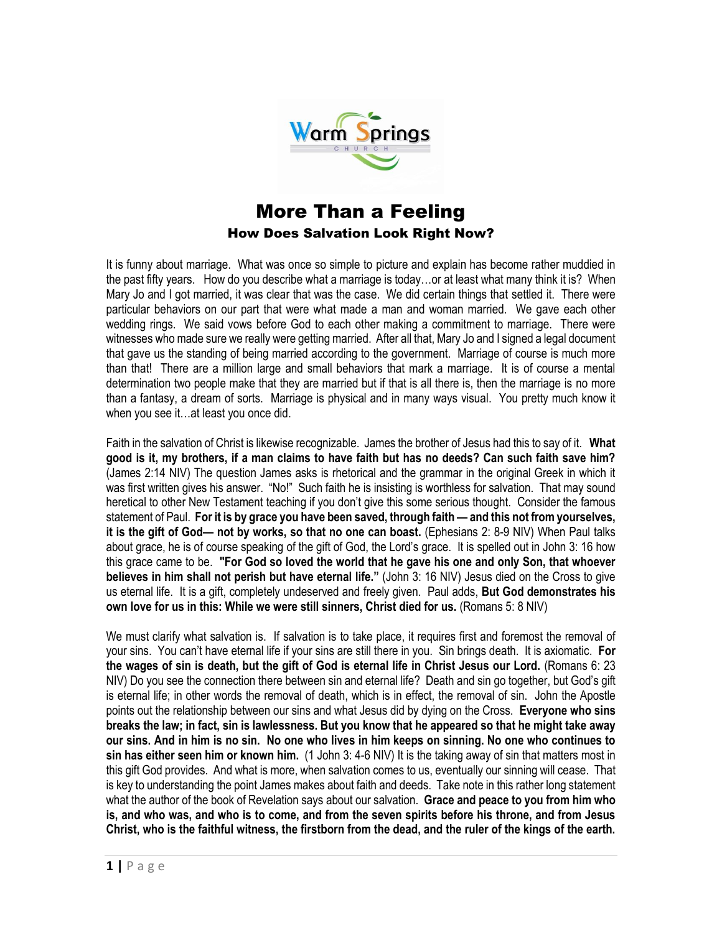

## More Than a Feeling How Does Salvation Look Right Now?

It is funny about marriage. What was once so simple to picture and explain has become rather muddied in the past fifty years. How do you describe what a marriage is today…or at least what many think it is? When Mary Jo and I got married, it was clear that was the case. We did certain things that settled it. There were particular behaviors on our part that were what made a man and woman married. We gave each other wedding rings. We said vows before God to each other making a commitment to marriage. There were witnesses who made sure we really were getting married. After all that, Mary Jo and I signed a legal document that gave us the standing of being married according to the government. Marriage of course is much more than that! There are a million large and small behaviors that mark a marriage. It is of course a mental determination two people make that they are married but if that is all there is, then the marriage is no more than a fantasy, a dream of sorts. Marriage is physical and in many ways visual. You pretty much know it when you see it…at least you once did.

Faith in the salvation of Christ is likewise recognizable. James the brother of Jesus had this to say of it. **What good is it, my brothers, if a man claims to have faith but has no deeds? Can such faith save him?**  (James 2:14 NIV) The question James asks is rhetorical and the grammar in the original Greek in which it was first written gives his answer. "No!" Such faith he is insisting is worthless for salvation. That may sound heretical to other New Testament teaching if you don't give this some serious thought. Consider the famous statement of Paul. **For it is by grace you have been saved, through faith — and this not from yourselves, it is the gift of God— not by works, so that no one can boast.** (Ephesians 2: 8-9 NIV) When Paul talks about grace, he is of course speaking of the gift of God, the Lord's grace. It is spelled out in John 3: 16 how this grace came to be. **"For God so loved the world that he gave his one and only Son, that whoever believes in him shall not perish but have eternal life."** (John 3: 16 NIV) Jesus died on the Cross to give us eternal life. It is a gift, completely undeserved and freely given. Paul adds, **But God demonstrates his own love for us in this: While we were still sinners, Christ died for us.** (Romans 5: 8 NIV)

We must clarify what salvation is. If salvation is to take place, it requires first and foremost the removal of your sins. You can't have eternal life if your sins are still there in you. Sin brings death. It is axiomatic. **For the wages of sin is death, but the gift of God is eternal life in Christ Jesus our Lord.** (Romans 6: 23 NIV) Do you see the connection there between sin and eternal life? Death and sin go together, but God's gift is eternal life; in other words the removal of death, which is in effect, the removal of sin. John the Apostle points out the relationship between our sins and what Jesus did by dying on the Cross. **Everyone who sins breaks the law; in fact, sin is lawlessness. But you know that he appeared so that he might take away our sins. And in him is no sin. No one who lives in him keeps on sinning. No one who continues to sin has either seen him or known him.** (1 John 3: 4-6 NIV) It is the taking away of sin that matters most in this gift God provides. And what is more, when salvation comes to us, eventually our sinning will cease. That is key to understanding the point James makes about faith and deeds. Take note in this rather long statement what the author of the book of Revelation says about our salvation. **Grace and peace to you from him who is, and who was, and who is to come, and from the seven spirits before his throne, and from Jesus Christ, who is the faithful witness, the firstborn from the dead, and the ruler of the kings of the earth.**